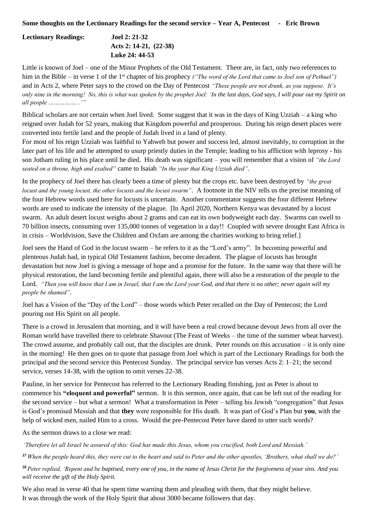## **Some thoughts on the Lectionary Readings for the second service – Year A, Pentecost - Eric Brown**

## **Lectionary Readings: Joel 2: 21-32 Acts 2: 14-21, (22-38) Luke 24: 44-53**

Little is known of Joel – one of the Minor Prophets of the Old Testament. There are, in fact, only two references to him in the Bible – in verse 1 of the 1<sup>st</sup> chapter of his prophecy *("The word of the Lord that came to Joel son of Pethuel")* and in Acts 2, where Peter says to the crowd on the Day of Pentecost *"These people are not drunk, as you suppose. It's only nine in the morning! No, this is what was spoken by the prophet Joel: 'In the last days, God says, I will pour out my Spirit on all people ……………. .'"*

Biblical scholars are not certain when Joel lived. Some suggest that it was in the days of King Uzziah – a king who reigned over Judah for 52 years, making that Kingdom powerful and prosperous. During his reign desert places were converted into fertile land and the people of Judah lived in a land of plenty.

For most of his reign Uzziah was faithful to Yahweh but power and success led, almost inevitably, to corruption in the later part of his life and he attempted to usurp priestly duties in the Temple; leading to his affliction with leprosy - his son Jotham ruling in his place until he died. His death was significant – you will remember that a vision of *"the Lord seated on a throne, high and exalted"* came to Isaiah *"In the year that King Uzziah died"*.

In the prophecy of Joel there has clearly been a time of plenty but the crops etc. have been destroyed by *"the great locust and the young locust, the other locusts and the locust swarm"*. A footnote in the NIV tells us the precise meaning of the four Hebrew words used here for locusts is uncertain. Another commentator suggests the four different Hebrew words are used to indicate the intensity of the plague. [In April 2020, Northern Kenya was devastated by a locust swarm. An adult desert locust weighs about 2 grams and can eat its own bodyweight each day. Swarms can swell to 70 billion insects, consuming over 135,000 tonnes of vegetation in a day!! Coupled with severe drought East Africa is in crisis – Worldvision, Save the Children and Oxfam are among the charities working to bring relief.]

Joel sees the Hand of God in the locust swarm – he refers to it as the "Lord's army". In becoming powerful and plenteous Judah had, in typical Old Testament fashion, become decadent. The plague of locusts has brought devastation but now Joel is giving a message of hope and a promise for the future. In the same way that there will be physical restoration, the land becoming fertile and plentiful again, there will also be a restoration of the people to the Lord. *"Then you will know that I am in Israel, that I am the Lord your God, and that there is no other; never again will my people be shamed"*.

Joel has a Vision of the "Day of the Lord" – those words which Peter recalled on the Day of Pentecost; the Lord pouring out His Spirit on all people.

There is a crowd in Jerusalem that morning, and it will have been a real crowd because devout Jews from all over the Roman world have travelled there to celebrate Shavout (The Feast of Weeks – the time of the summer wheat harvest). The crowd assume, and probably call out, that the disciples are drunk. Peter rounds on this accusation – it is only nine in the morning! He then goes on to quote that passage from Joel which is part of the Lectionary Readings for both the principal and the second service this Pentecost Sunday. The principal service has verses Acts 2: 1–21; the second service, verses 14-38, with the option to omit verses 22-38.

Pauline, in her service for Pentecost has referred to the Lectionary Reading finishing, just as Peter is about to commence his **"eloquent and powerful"** sermon. It is this sermon, once again, that can be left out of the reading for the second service – but what a sermon! What a transformation in Peter – telling his Jewish "congregation" that Jesus is God's promised Messiah and that **they** were responsible for His death. It was part of God's Plan but **you**, with the help of wicked men, nailed Him to a cross. Would the pre-Pentecost Peter have dared to utter such words?

As the sermon draws to a close we read:

*'Therefore let all Israel be assured of this: God has made this Jesus, whom you crucified, both Lord and Messiah.'*

*<sup>37</sup> When the people heard this, they were cut to the heart and said to Peter and the other apostles, 'Brothers, what shall we do?'*

*<sup>38</sup>Peter replied, 'Repent and be baptised, every one of you, in the name of Jesus Christ for the forgiveness of your sins. And you will receive the gift of the Holy Spirit.*

We also read in verse 40 that he spent time warning them and pleading with them, that they might believe. It was through the work of the Holy Spirit that about 3000 became followers that day.